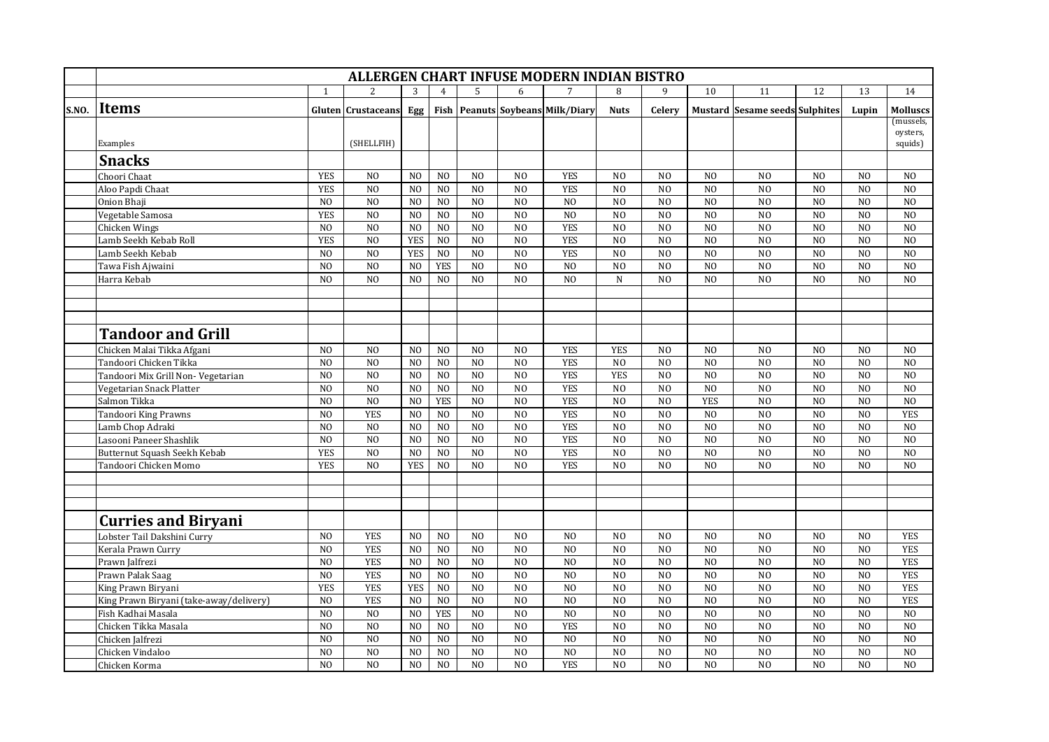|       | ALLERGEN CHART INFUSE MODERN INDIAN BISTRO |                |                                  |                |                              |                                  |                                  |                                               |                |                                  |                                  |                                       |                                  |                                  |                     |
|-------|--------------------------------------------|----------------|----------------------------------|----------------|------------------------------|----------------------------------|----------------------------------|-----------------------------------------------|----------------|----------------------------------|----------------------------------|---------------------------------------|----------------------------------|----------------------------------|---------------------|
|       |                                            | $\mathbf{1}$   | $\mathcal{P}$                    | 3              |                              |                                  | 6                                |                                               | 8              | 9                                | 10                               | 11                                    | 12                               | 13                               | 14                  |
| S.NO. | <b>Items</b>                               |                | <b>Gluten Crustaceans</b>        | Egg            |                              |                                  |                                  | <b>Fish   Peanuts   Soybeans   Milk/Diary</b> | <b>Nuts</b>    | Celerv                           |                                  | <b>Mustard Sesame seeds Sulphites</b> |                                  | Lupin                            | <b>Molluscs</b>     |
|       |                                            |                |                                  |                |                              |                                  |                                  |                                               |                |                                  |                                  |                                       |                                  |                                  | (mussels,           |
|       | Examples                                   |                | (SHELLFIH)                       |                |                              |                                  |                                  |                                               |                |                                  |                                  |                                       |                                  |                                  | oysters,<br>squids) |
|       | <b>Snacks</b>                              |                |                                  |                |                              |                                  |                                  |                                               |                |                                  |                                  |                                       |                                  |                                  |                     |
|       |                                            |                |                                  |                |                              |                                  |                                  |                                               |                |                                  |                                  |                                       |                                  |                                  |                     |
|       | Choori Chaat                               | <b>YES</b>     | N <sub>O</sub>                   | N <sub>O</sub> | N <sub>O</sub>               | N <sub>O</sub>                   | N <sub>O</sub>                   | <b>YES</b>                                    | N <sub>O</sub> | N <sub>0</sub>                   | N <sub>O</sub>                   | N <sub>O</sub>                        | N <sub>0</sub>                   | N <sub>O</sub>                   | N <sub>O</sub>      |
|       | Aloo Papdi Chaat                           | <b>YES</b>     | N <sub>O</sub>                   | N <sub>O</sub> | NO                           | N <sub>O</sub>                   | N <sub>O</sub>                   | <b>YES</b>                                    | NO             | N <sub>O</sub>                   | NO                               | N <sub>O</sub>                        | N <sub>O</sub>                   | N <sub>O</sub>                   | N <sub>O</sub>      |
|       | Onion Bhaii                                | N <sub>O</sub> | N <sub>0</sub>                   | N <sub>O</sub> | N <sub>0</sub>               | N <sub>0</sub>                   | N <sub>0</sub>                   | N <sub>0</sub>                                | N <sub>0</sub> | N <sub>0</sub>                   | N <sub>0</sub>                   | N <sub>O</sub>                        | N <sub>0</sub>                   | N <sub>O</sub>                   | N <sub>0</sub>      |
|       | Vegetable Samosa                           | <b>YES</b>     | N <sub>O</sub>                   | N <sub>0</sub> | N <sub>O</sub>               | N <sub>O</sub>                   | N <sub>O</sub>                   | N <sub>O</sub>                                | N <sub>O</sub> | N <sub>O</sub>                   | N()                              | N <sub>O</sub>                        | N <sub>O</sub>                   | N <sub>O</sub>                   | N <sub>0</sub>      |
|       | Chicken Wings                              | N <sub>O</sub> | N <sub>O</sub><br>N <sub>0</sub> | N <sub>0</sub> | N <sub>0</sub>               | N <sub>0</sub><br>N <sub>0</sub> | N <sub>0</sub><br>N <sub>0</sub> | <b>YES</b><br><b>YES</b>                      | N <sub>0</sub> | N <sub>0</sub><br>N <sub>0</sub> | N <sub>O</sub><br>N <sub>0</sub> | N <sub>0</sub>                        | N <sub>0</sub><br>N <sub>0</sub> | N <sub>O</sub>                   | N <sub>0</sub>      |
|       | Lamb Seekh Kebab Roll                      | <b>YES</b>     |                                  | <b>YES</b>     | N <sub>O</sub>               |                                  |                                  |                                               | N <sub>O</sub> |                                  |                                  | N <sub>O</sub>                        |                                  | N <sub>O</sub>                   | N <sub>O</sub>      |
|       | Lamb Seekh Kebab                           | N <sub>O</sub> | N <sub>O</sub>                   | <b>YES</b>     | N <sub>0</sub><br><b>YES</b> | N <sub>O</sub><br>N <sub>0</sub> | N <sub>O</sub>                   | <b>YES</b><br>N <sub>0</sub>                  | N <sub>O</sub> | N <sub>0</sub><br>N <sub>0</sub> | N <sub>O</sub><br>N <sub>O</sub> | N <sub>O</sub>                        | N <sub>0</sub>                   | N <sub>O</sub><br>N <sub>O</sub> | N <sub>O</sub>      |
|       | Tawa Fish Ajwaini                          | N <sub>O</sub> | N <sub>O</sub>                   | N <sub>0</sub> |                              |                                  | N <sub>0</sub>                   |                                               | N <sub>O</sub> |                                  |                                  | N <sub>O</sub>                        | N <sub>0</sub>                   |                                  | N <sub>0</sub>      |
|       | Harra Kebab                                | N <sub>O</sub> | N <sub>O</sub>                   | N <sub>O</sub> | N <sub>O</sub>               | N <sub>O</sub>                   | N <sub>O</sub>                   | N <sub>O</sub>                                | N              | N <sub>O</sub>                   | N <sub>0</sub>                   | N <sub>O</sub>                        | N <sub>O</sub>                   | N <sub>O</sub>                   | N <sub>O</sub>      |
|       |                                            |                |                                  |                |                              |                                  |                                  |                                               |                |                                  |                                  |                                       |                                  |                                  |                     |
|       |                                            |                |                                  |                |                              |                                  |                                  |                                               |                |                                  |                                  |                                       |                                  |                                  |                     |
|       |                                            |                |                                  |                |                              |                                  |                                  |                                               |                |                                  |                                  |                                       |                                  |                                  |                     |
|       | Tandoor and Grill                          |                |                                  |                |                              |                                  |                                  |                                               |                |                                  |                                  |                                       |                                  |                                  |                     |
|       | Chicken Malai Tikka Afgani                 | N <sub>0</sub> | N <sub>O</sub>                   | N <sub>O</sub> | N <sub>O</sub>               | N <sub>O</sub>                   | N <sub>O</sub>                   | <b>YES</b>                                    | <b>YES</b>     | N <sub>O</sub>                   | N <sub>0</sub>                   | N <sub>O</sub>                        | N <sub>O</sub>                   | N <sub>O</sub>                   | N <sub>O</sub>      |
|       | Tandoori Chicken Tikka                     | N <sub>0</sub> | N <sub>O</sub>                   | N <sub>O</sub> | N <sub>0</sub>               | N <sub>O</sub>                   | N <sub>O</sub>                   | <b>YES</b>                                    | N <sub>O</sub> | N <sub>0</sub>                   | N <sub>O</sub>                   | N <sub>O</sub>                        | N <sub>0</sub>                   | N <sub>O</sub>                   | N <sub>O</sub>      |
|       | Tandoori Mix Grill Non- Vegetarian         | N <sub>O</sub> | N <sub>O</sub>                   | N <sub>O</sub> | N <sub>0</sub>               | N <sub>O</sub>                   | N <sub>O</sub>                   | <b>YES</b>                                    | <b>YES</b>     | N <sub>0</sub>                   | N <sub>O</sub>                   | N <sub>O</sub>                        | N <sub>O</sub>                   | N <sub>O</sub>                   | N <sub>O</sub>      |
|       | Vegetarian Snack Platter                   | N <sub>O</sub> | N <sub>O</sub>                   | N <sub>0</sub> | N <sub>0</sub>               | N <sub>O</sub>                   | NO                               | <b>YES</b>                                    | N <sub>O</sub> | NO                               | N <sub>O</sub>                   | N <sub>O</sub>                        | N <sub>0</sub>                   | N <sub>O</sub>                   | N <sub>0</sub>      |
|       | Salmon Tikka                               | N <sub>O</sub> | N <sub>0</sub>                   | N <sub>O</sub> | <b>YES</b>                   | $\overline{NQ}$                  | $\overline{NQ}$                  | <b>YES</b>                                    | N <sub>0</sub> | N <sub>0</sub>                   | <b>YES</b>                       | N <sub>O</sub>                        | $\overline{N}$                   | N <sub>O</sub>                   | $\overline{N}$      |
|       | Tandoori King Prawns                       | N <sub>O</sub> | <b>YES</b>                       | N <sub>0</sub> | $_{\rm NO}$                  | NO                               | N <sub>0</sub>                   | <b>YES</b>                                    | N <sub>0</sub> | NO                               | N <sub>0</sub>                   | N <sub>O</sub>                        | N <sub>0</sub>                   | N <sub>O</sub>                   | <b>YES</b>          |
|       | Lamb Chop Adraki                           | N <sub>O</sub> | N <sub>O</sub>                   | N <sub>O</sub> | NO                           | NO                               | N <sub>O</sub>                   | <b>YES</b>                                    | N <sub>O</sub> | N <sub>O</sub>                   | NO                               | N <sub>O</sub>                        | N <sub>O</sub>                   | N <sub>O</sub>                   | N <sub>O</sub>      |
|       | Lasooni Paneer Shashlik                    | N <sub>O</sub> | N <sub>O</sub>                   | N <sub>O</sub> | NO                           | N <sub>O</sub>                   | N <sub>0</sub>                   | <b>YES</b>                                    | N <sub>0</sub> | N <sub>O</sub>                   | NO                               | N <sub>O</sub>                        | NO                               | N <sub>O</sub>                   | N <sub>O</sub>      |
|       | Butternut Squash Seekh Kebab               | <b>YES</b>     | N <sub>O</sub>                   | N <sub>O</sub> | N <sub>O</sub>               | N <sub>0</sub>                   | N <sub>0</sub>                   | <b>YES</b>                                    | NO             | N <sub>O</sub>                   | NO                               | N <sub>O</sub>                        | N <sub>0</sub>                   | N <sub>O</sub>                   | N <sub>0</sub>      |
|       | Tandoori Chicken Momo                      | <b>YES</b>     | N <sub>0</sub>                   | <b>YES</b>     | N <sub>O</sub>               | N <sub>O</sub>                   | N <sub>O</sub>                   | <b>YES</b>                                    | N()            | N <sub>0</sub>                   | N()                              | N <sub>0</sub>                        | N <sub>O</sub>                   | N <sub>0</sub>                   | NO                  |
|       |                                            |                |                                  |                |                              |                                  |                                  |                                               |                |                                  |                                  |                                       |                                  |                                  |                     |
|       |                                            |                |                                  |                |                              |                                  |                                  |                                               |                |                                  |                                  |                                       |                                  |                                  |                     |
|       |                                            |                |                                  |                |                              |                                  |                                  |                                               |                |                                  |                                  |                                       |                                  |                                  |                     |
|       | <b>Curries and Biryani</b>                 |                |                                  |                |                              |                                  |                                  |                                               |                |                                  |                                  |                                       |                                  |                                  |                     |
|       | Lobster Tail Dakshini Curry                | N <sub>0</sub> | <b>YES</b>                       | N <sub>0</sub> | N <sub>O</sub>               | N <sub>O</sub>                   | N <sub>0</sub>                   | N <sub>O</sub>                                | N <sub>O</sub> | N <sub>O</sub>                   | N <sub>0</sub>                   | N <sub>0</sub>                        | N <sub>O</sub>                   | N <sub>O</sub>                   | <b>YES</b>          |
|       | Kerala Prawn Curry                         | N <sub>O</sub> | <b>YES</b>                       | N <sub>0</sub> | NO                           | NO                               | N <sub>0</sub>                   | N <sub>O</sub>                                | N <sub>O</sub> | N <sub>O</sub>                   | N <sub>0</sub>                   | N <sub>O</sub>                        | N <sub>0</sub>                   | N <sub>O</sub>                   | <b>YES</b>          |
|       | Prawn Jalfrezi                             | N <sub>O</sub> | <b>YES</b>                       | N <sub>O</sub> | NO                           | N <sub>O</sub>                   | N <sub>0</sub>                   | N <sub>O</sub>                                | NO             | N <sub>O</sub>                   | N <sub>0</sub>                   | N <sub>O</sub>                        | N <sub>O</sub>                   | N <sub>O</sub>                   | <b>YES</b>          |
|       | Prawn Palak Saag                           | N <sub>O</sub> | <b>YES</b>                       | N <sub>O</sub> | $_{\rm NO}$                  | N <sub>O</sub>                   | N <sub>O</sub>                   | N <sub>O</sub>                                | NO             | N <sub>O</sub>                   | N <sub>0</sub>                   | N <sub>O</sub>                        | N <sub>O</sub>                   | N <sub>O</sub>                   | <b>YES</b>          |
|       | King Prawn Biryani                         | <b>YES</b>     | <b>YES</b>                       | <b>YES</b>     | N <sub>0</sub>               | N <sub>0</sub>                   | N <sub>O</sub>                   | N <sub>O</sub>                                | N <sub>0</sub> | NO                               | N <sub>O</sub>                   | N <sub>O</sub>                        | N <sub>0</sub>                   | N <sub>O</sub>                   | <b>YES</b>          |
|       | King Prawn Biryani (take-away/delivery)    | N <sub>O</sub> | <b>YES</b>                       | N <sub>O</sub> | N <sub>0</sub>               | N <sub>0</sub>                   | N <sub>O</sub>                   | N <sub>O</sub>                                | N <sub>O</sub> | N <sub>0</sub>                   | NO                               | N <sub>O</sub>                        | N <sub>0</sub>                   | N <sub>O</sub>                   | <b>YES</b>          |
|       | Fish Kadhai Masala                         | N <sub>O</sub> | N <sub>O</sub>                   | N <sub>O</sub> | <b>YES</b>                   | N <sub>O</sub>                   | N <sub>0</sub>                   | N <sub>O</sub>                                | N <sub>O</sub> | N <sub>0</sub>                   | N <sub>O</sub>                   | N <sub>0</sub>                        | N <sub>0</sub>                   | N <sub>O</sub>                   | N <sub>O</sub>      |
|       | Chicken Tikka Masala                       | N <sub>O</sub> | N <sub>O</sub>                   | N <sub>O</sub> | N <sub>0</sub>               | N <sub>O</sub>                   | N <sub>O</sub>                   | <b>YES</b>                                    | N <sub>O</sub> | N <sub>0</sub>                   | N <sub>0</sub>                   | N <sub>O</sub>                        | N <sub>0</sub>                   | N <sub>O</sub>                   | N <sub>O</sub>      |
|       | Chicken Jalfrezi                           | N <sub>O</sub> | N <sub>O</sub>                   | N <sub>O</sub> | NO                           | N <sub>O</sub>                   | N <sub>O</sub>                   | N <sub>O</sub>                                | NO             | N <sub>0</sub>                   | N <sub>O</sub>                   | N <sub>O</sub>                        | N <sub>0</sub>                   | N <sub>O</sub>                   | N <sub>0</sub>      |
|       | Chicken Vindaloo                           | N <sub>O</sub> | N <sub>0</sub>                   | N <sub>O</sub> | N <sub>0</sub>               | $\overline{NQ}$                  | $\overline{N}$                   | $\overline{N}$                                | $\overline{N}$ | $\overline{N}$                   | $\overline{N}$                   | N <sub>O</sub>                        | $\overline{N}$                   | N <sub>O</sub>                   | $\overline{N}$      |
|       | Chicken Korma                              | N <sub>O</sub> | N <sub>0</sub>                   | N <sub>O</sub> | N <sub>0</sub>               | N <sub>O</sub>                   | N <sub>O</sub>                   | <b>YES</b>                                    | N <sub>O</sub> | N <sub>0</sub>                   | N <sub>O</sub>                   | N <sub>O</sub>                        | N <sub>O</sub>                   | N <sub>O</sub>                   | N <sub>O</sub>      |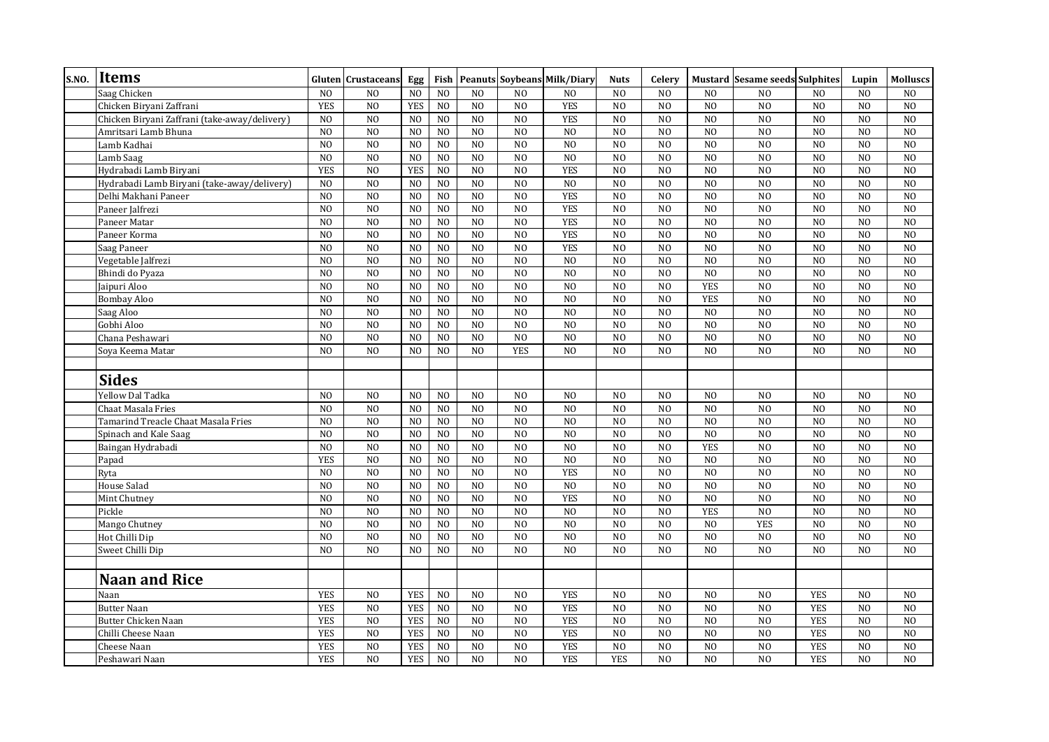| <b>S.NO.</b> | <b>Items</b>                                  |                | <b>Gluten</b> Crustaceans | Egg             | Fish           |                |                | <b>Peanuts Soybeans Milk/Diary</b> | <b>Nuts</b>    | Celery         |                | <b>Mustard Sesame seeds Sulphites</b> |                | Lupin           | <b>Molluscs</b> |
|--------------|-----------------------------------------------|----------------|---------------------------|-----------------|----------------|----------------|----------------|------------------------------------|----------------|----------------|----------------|---------------------------------------|----------------|-----------------|-----------------|
|              | Saag Chicken                                  | N <sub>O</sub> | N <sub>O</sub>            | N <sub>O</sub>  | N <sub>O</sub> | N <sub>O</sub> | N <sub>O</sub> | N <sub>O</sub>                     | N <sub>0</sub> | N <sub>O</sub> | N <sub>0</sub> | N <sub>O</sub>                        | N <sub>0</sub> | N <sub>O</sub>  | N <sub>O</sub>  |
|              | Chicken Biryani Zaffrani                      | <b>YES</b>     | N <sub>0</sub>            | <b>YES</b>      | N <sub>0</sub> | N <sub>0</sub> | N <sub>O</sub> | <b>YES</b>                         | N <sub>0</sub> | N <sub>O</sub> | N <sub>O</sub> | N <sub>O</sub>                        | N <sub>O</sub> | N <sub>0</sub>  | N <sub>O</sub>  |
|              | Chicken Biryani Zaffrani (take-away/delivery) | N <sub>0</sub> | N <sub>0</sub>            | N <sub>0</sub>  | N <sub>0</sub> | N <sub>0</sub> | N <sub>0</sub> | <b>YES</b>                         | N <sub>O</sub> | N <sub>0</sub> | N <sub>O</sub> | N <sub>0</sub>                        | N <sub>0</sub> | N <sub>O</sub>  | N <sub>0</sub>  |
|              | Amritsari Lamb Bhuna                          | N <sub>O</sub> | N <sub>0</sub>            | N <sub>0</sub>  | N <sub>0</sub> | N <sub>O</sub> | N <sub>O</sub> | N <sub>0</sub>                     | N <sub>0</sub> | N <sub>O</sub> | NO             | N <sub>O</sub>                        | N <sub>0</sub> | N <sub>0</sub>  | N <sub>O</sub>  |
|              | Lamb Kadhai                                   | N <sub>O</sub> | N <sub>O</sub>            | N <sub>O</sub>  | N <sub>O</sub> | NO             | N <sub>O</sub> | N <sub>O</sub>                     | N <sub>O</sub> | N <sub>O</sub> | N <sub>O</sub> | N <sub>O</sub>                        | NO             | N <sub>O</sub>  | N <sub>O</sub>  |
|              | Lamb Saag                                     | N <sub>O</sub> | N <sub>O</sub>            | N <sub>O</sub>  | N <sub>O</sub> | N <sub>0</sub> | N <sub>O</sub> | N <sub>0</sub>                     | N <sub>O</sub> | NO             | N <sub>O</sub> | N <sub>O</sub>                        | N <sub>O</sub> | N <sub>O</sub>  | N <sub>O</sub>  |
|              | Hydrabadi Lamb Biryani                        | <b>YES</b>     | NO                        | <b>YES</b>      | N <sub>O</sub> | NO             | N <sub>O</sub> | <b>YES</b>                         | N <sub>O</sub> | N <sub>O</sub> | N <sub>0</sub> | N <sub>O</sub>                        | N <sub>O</sub> | N <sub>O</sub>  | N <sub>O</sub>  |
|              | Hydrabadi Lamb Biryani (take-away/delivery)   | N <sub>O</sub> | N <sub>0</sub>            | N <sub>0</sub>  | N <sub>0</sub> | N <sub>0</sub> | N <sub>0</sub> | N <sub>0</sub>                     | N <sub>0</sub> | N <sub>0</sub> | N <sub>0</sub> | N <sub>0</sub>                        | N <sub>0</sub> | N <sub>0</sub>  | N <sub>0</sub>  |
|              | Delhi Makhani Paneer                          | N <sub>O</sub> | N <sub>0</sub>            | N <sub>0</sub>  | N <sub>0</sub> | N <sub>0</sub> | N <sub>O</sub> | <b>YES</b>                         | N <sub>O</sub> | N <sub>0</sub> | N <sub>O</sub> | N <sub>O</sub>                        | N <sub>0</sub> | N <sub>0</sub>  | N <sub>0</sub>  |
|              | Paneer Jalfrezi                               | N <sub>0</sub> | N <sub>O</sub>            | N <sub>O</sub>  | N <sub>0</sub> | N <sub>O</sub> | N <sub>O</sub> | <b>YES</b>                         | N <sub>O</sub> | N <sub>O</sub> | N <sub>O</sub> | N <sub>0</sub>                        | N <sub>0</sub> | N <sub>O</sub>  | N <sub>O</sub>  |
|              | Paneer Matar                                  | N <sub>O</sub> | N <sub>O</sub>            | N <sub>O</sub>  | N <sub>O</sub> | N <sub>O</sub> | N <sub>O</sub> | <b>YES</b>                         | N <sub>O</sub> | N <sub>O</sub> | N <sub>O</sub> | N <sub>O</sub>                        | N <sub>0</sub> | N <sub>O</sub>  | N <sub>O</sub>  |
|              | Paneer Korma                                  | N <sub>O</sub> | N <sub>O</sub>            | N <sub>O</sub>  | N <sub>O</sub> | NO             | N <sub>O</sub> | <b>YES</b>                         | N <sub>O</sub> | N <sub>O</sub> | N <sub>O</sub> | N <sub>O</sub>                        | NO             | N <sub>O</sub>  | N <sub>O</sub>  |
|              | Saag Paneer                                   | N <sub>O</sub> | NO                        | N <sub>O</sub>  | N <sub>0</sub> | N <sub>0</sub> | $\overline{N}$ | <b>YES</b>                         | N <sub>O</sub> | NO             | $\overline{N}$ | N <sub>O</sub>                        | $\overline{N}$ | $\overline{NQ}$ | NO              |
|              | Vegetable Jalfrezi                            | N <sub>O</sub> | N <sub>0</sub>            | NO              | N <sub>0</sub> | N <sub>0</sub> | N <sub>O</sub> | N <sub>0</sub>                     | N <sub>0</sub> | NO             | N <sub>O</sub> | N <sub>0</sub>                        | $\overline{N}$ | N <sub>O</sub>  | N <sub>O</sub>  |
|              | Bhindi do Pyaza                               | N <sub>O</sub> | N <sub>0</sub>            | N <sub>0</sub>  | N <sub>0</sub> | N <sub>0</sub> | N <sub>0</sub> | N <sub>0</sub>                     | N <sub>0</sub> | N <sub>0</sub> | N <sub>0</sub> | N <sub>0</sub>                        | N <sub>0</sub> | N <sub>0</sub>  | N <sub>0</sub>  |
|              | Jaipuri Aloo                                  | N <sub>O</sub> | N <sub>O</sub>            | N <sub>O</sub>  | N <sub>O</sub> | N <sub>0</sub> | N <sub>O</sub> | N <sub>O</sub>                     | N <sub>O</sub> | N <sub>0</sub> | <b>YES</b>     | N <sub>O</sub>                        | N <sub>O</sub> | N <sub>O</sub>  | N <sub>O</sub>  |
|              | <b>Bombay Aloo</b>                            | NO             | NO                        | N <sub>O</sub>  | N <sub>0</sub> | N <sub>0</sub> | N <sub>O</sub> | N <sub>O</sub>                     | N <sub>O</sub> | NO             | <b>YES</b>     | N <sub>O</sub>                        | N <sub>0</sub> | N <sub>O</sub>  | NO              |
|              | Saag Aloo                                     | N <sub>O</sub> | N <sub>O</sub>            | N <sub>O</sub>  | N <sub>O</sub> | NO             | N <sub>O</sub> | N <sub>O</sub>                     | N <sub>O</sub> | NO             | N <sub>0</sub> | N <sub>O</sub>                        | N <sub>0</sub> | N <sub>O</sub>  | N <sub>O</sub>  |
|              | Gobhi Aloo                                    | N <sub>O</sub> | NO                        | N <sub>O</sub>  | N <sub>O</sub> | NO             | N <sub>O</sub> | N <sub>O</sub>                     | N <sub>O</sub> | NO             | N <sub>O</sub> | N <sub>O</sub>                        | NO             | N <sub>O</sub>  | NO              |
|              | Chana Peshawari                               | N <sub>O</sub> | NO                        | N <sub>O</sub>  | N <sub>O</sub> | NO             | N <sub>O</sub> | N <sub>O</sub>                     | N <sub>O</sub> | NO             | N <sub>O</sub> | N <sub>O</sub>                        | NO             | N <sub>O</sub>  | NO              |
|              | Soya Keema Matar                              | N <sub>0</sub> | N <sub>O</sub>            | N <sub>O</sub>  | N <sub>O</sub> | N <sub>O</sub> | <b>YES</b>     | N <sub>O</sub>                     | N <sub>O</sub> | N <sub>O</sub> | N <sub>O</sub> | N <sub>O</sub>                        | N <sub>0</sub> | N <sub>O</sub>  | N <sub>O</sub>  |
|              | <b>Sides</b>                                  |                |                           |                 |                |                |                |                                    |                |                |                |                                       |                |                 |                 |
|              | Yellow Dal Tadka                              | N <sub>0</sub> | N <sub>O</sub>            | N <sub>O</sub>  | N <sub>0</sub> | N <sub>O</sub> | N <sub>O</sub> | N <sub>O</sub>                     | N <sub>O</sub> | N <sub>O</sub> | N <sub>0</sub> | N <sub>0</sub>                        | N <sub>O</sub> | N <sub>O</sub>  | N <sub>O</sub>  |
|              | Chaat Masala Fries                            | N <sub>O</sub> | NO                        | N <sub>O</sub>  | N <sub>O</sub> | NO             | N <sub>O</sub> | $_{\rm NO}$                        | N <sub>0</sub> | NO             | N <sub>O</sub> | N <sub>O</sub>                        | N <sub>O</sub> | N <sub>O</sub>  | N <sub>O</sub>  |
|              | Tamarind Treacle Chaat Masala Fries           | N <sub>O</sub> | N <sub>O</sub>            | N <sub>O</sub>  | N <sub>O</sub> | NO             | N <sub>O</sub> | N <sub>O</sub>                     | N <sub>O</sub> | N <sub>O</sub> | N <sub>O</sub> | N <sub>O</sub>                        | NO             | N <sub>O</sub>  | N <sub>O</sub>  |
|              | Spinach and Kale Saag                         | N <sub>O</sub> | N <sub>0</sub>            | N <sub>O</sub>  | N <sub>0</sub> | N <sub>0</sub> | N <sub>O</sub> | N <sub>0</sub>                     | N <sub>O</sub> | NO             | N <sub>0</sub> | N <sub>O</sub>                        | N <sub>O</sub> | N <sub>O</sub>  | N <sub>O</sub>  |
|              | Baingan Hydrabadi                             | $_{\rm NO}$    | $_{\rm NO}$               | $\overline{N0}$ | N <sub>0</sub> | N <sub>0</sub> | $\overline{N}$ | $\overline{NQ}$                    | N <sub>O</sub> | $_{\rm NO}$    | <b>YES</b>     | N <sub>O</sub>                        | $\overline{N}$ | N <sub>O</sub>  | N <sub>0</sub>  |
|              | Papad                                         | <b>YES</b>     | NO                        | N <sub>O</sub>  | N <sub>0</sub> | NO             | N <sub>O</sub> | N <sub>O</sub>                     | N <sub>O</sub> | NO             | N <sub>O</sub> | N <sub>O</sub>                        | N <sub>0</sub> | N <sub>O</sub>  | NO              |
|              | Ryta                                          | N <sub>O</sub> | NO                        | N <sub>O</sub>  | N <sub>0</sub> | NO             | N <sub>O</sub> | <b>YES</b>                         | N <sub>O</sub> | NO             | NO             | N <sub>O</sub>                        | N <sub>0</sub> | N <sub>O</sub>  | NO              |
|              | House Salad                                   | N <sub>O</sub> | N <sub>O</sub>            | NO              | N <sub>O</sub> | NO             | N <sub>O</sub> | N <sub>O</sub>                     | N <sub>O</sub> | N <sub>O</sub> | N <sub>O</sub> | N <sub>O</sub>                        | NO             | N <sub>O</sub>  | N <sub>O</sub>  |
|              | Mint Chutney                                  | N <sub>O</sub> | NO                        | N <sub>O</sub>  | N <sub>O</sub> | N <sub>O</sub> | N <sub>O</sub> | <b>YES</b>                         | N <sub>O</sub> | N <sub>O</sub> | N <sub>0</sub> | N <sub>O</sub>                        | N <sub>0</sub> | N <sub>O</sub>  | N <sub>O</sub>  |
|              | Pickle                                        | N <sub>0</sub> | N <sub>0</sub>            | N <sub>0</sub>  | N <sub>0</sub> | N <sub>0</sub> | N <sub>0</sub> | N <sub>0</sub>                     | N <sub>0</sub> | N <sub>0</sub> | <b>YES</b>     | N <sub>0</sub>                        | N <sub>0</sub> | N <sub>0</sub>  | N <sub>0</sub>  |
|              | Mango Chutney                                 | N <sub>0</sub> | N <sub>O</sub>            | N <sub>0</sub>  | N <sub>0</sub> | N <sub>0</sub> | N <sub>O</sub> | N <sub>O</sub>                     | N <sub>0</sub> | N <sub>0</sub> | N <sub>0</sub> | <b>YES</b>                            | N <sub>0</sub> | N <sub>O</sub>  | N <sub>O</sub>  |
|              | Hot Chilli Dip                                | N <sub>0</sub> | N <sub>0</sub>            | N <sub>O</sub>  | N <sub>0</sub> | N <sub>O</sub> | N <sub>O</sub> | N <sub>O</sub>                     | N <sub>O</sub> | N <sub>O</sub> | N <sub>O</sub> | N <sub>0</sub>                        | N <sub>0</sub> | N <sub>O</sub>  | N <sub>O</sub>  |
|              | Sweet Chilli Dip                              | N <sub>O</sub> | NO                        | N <sub>O</sub>  | N <sub>O</sub> | N <sub>O</sub> | N <sub>O</sub> | N <sub>O</sub>                     | N <sub>O</sub> | N <sub>O</sub> | N <sub>O</sub> | N <sub>O</sub>                        | N <sub>O</sub> | N <sub>O</sub>  | N <sub>O</sub>  |
|              | <b>Naan and Rice</b>                          |                |                           |                 |                |                |                |                                    |                |                |                |                                       |                |                 |                 |
|              | Naan                                          | <b>YES</b>     | N <sub>O</sub>            | <b>YES</b>      | N <sub>0</sub> | N <sub>O</sub> | N <sub>O</sub> | <b>YES</b>                         | N <sub>O</sub> | N <sub>O</sub> | N <sub>0</sub> | N <sub>O</sub>                        | <b>YES</b>     | N <sub>O</sub>  | N <sub>O</sub>  |
|              | Butter Naan                                   | <b>YES</b>     | N <sub>0</sub>            | <b>YES</b>      | N <sub>0</sub> | N <sub>0</sub> | N <sub>0</sub> | <b>YES</b>                         | N <sub>0</sub> | N <sub>0</sub> | N <sub>0</sub> | N <sub>0</sub>                        | <b>YES</b>     | N <sub>0</sub>  | N <sub>0</sub>  |
|              | <b>Butter Chicken Naan</b>                    | <b>YES</b>     | NO                        | <b>YES</b>      | N <sub>O</sub> | NO             | N <sub>O</sub> | <b>YES</b>                         | N <sub>O</sub> | NO             | NO             | N <sub>O</sub>                        | <b>YES</b>     | N <sub>O</sub>  | N <sub>O</sub>  |
|              | Chilli Cheese Naan                            | <b>YES</b>     | N <sub>O</sub>            | <b>YES</b>      | N <sub>O</sub> | NO             | N <sub>O</sub> | <b>YES</b>                         | N <sub>O</sub> | N <sub>O</sub> | N <sub>O</sub> | N <sub>O</sub>                        | <b>YES</b>     | N <sub>O</sub>  | N <sub>O</sub>  |
|              | Cheese Naan                                   | <b>YES</b>     | N <sub>O</sub>            | <b>YES</b>      | N <sub>O</sub> | N <sub>O</sub> | N <sub>0</sub> | <b>YES</b>                         | N <sub>O</sub> | N <sub>O</sub> | N <sub>O</sub> | N <sub>O</sub>                        | <b>YES</b>     | N <sub>O</sub>  | N <sub>O</sub>  |
|              | Peshawari Naan                                | <b>YES</b>     | NO                        | <b>YES</b>      | N <sub>O</sub> | NO             | N <sub>O</sub> | <b>YES</b>                         | <b>YES</b>     | N <sub>O</sub> | N <sub>O</sub> | N <sub>O</sub>                        | <b>YES</b>     | N <sub>O</sub>  | N <sub>O</sub>  |